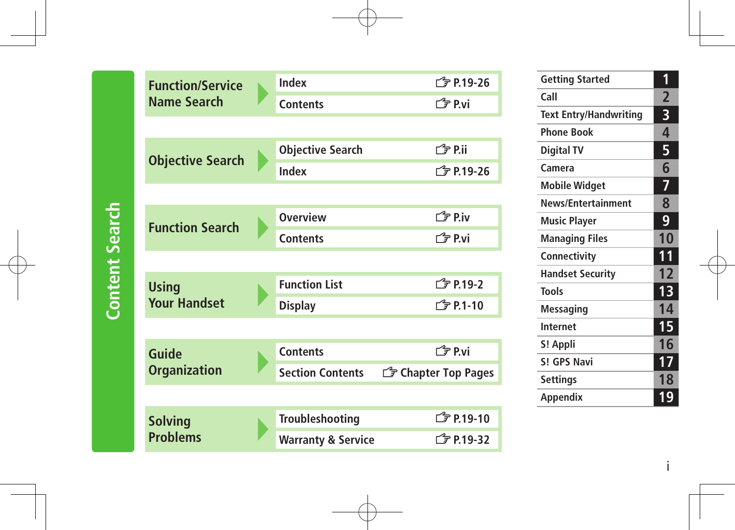| <b>Function/Service</b> | Index                         | <b>广</b> 字 P.19-26          |
|-------------------------|-------------------------------|-----------------------------|
| <b>Name Search</b>      | <b>Contents</b>               | 门户 P.vi                     |
|                         |                               |                             |
|                         | <b>Objective Search</b>       | ∩ <sup>2</sup> P.ii         |
| <b>Objective Search</b> | Index                         | $\sqrt{7}$ P.19-26          |
|                         |                               |                             |
|                         | <b>Overview</b>               | $\mathbb{F}$ P.iv           |
| <b>Function Search</b>  | <b>Contents</b>               | <b><i><u>f</u></i></b> P.vi |
|                         |                               |                             |
| <b>Using</b>            | <b>Function List</b>          | <b>子P.19-2</b>              |
| <b>Your Handset</b>     | <b>Display</b>                | <b>f</b> P.1-10             |
|                         |                               |                             |
| Guide                   | <b>Contents</b>               | <b>∟ Pri</b>                |
| <b>Organization</b>     | <b>Section Contents</b>       | <b>F</b> Chapter Top Pages  |
|                         |                               |                             |
| <b>Solving</b>          | Troubleshooting               | <b>f</b> P.19-10            |
| <b>Problems</b>         | <b>Warranty &amp; Service</b> | <b>子P.19-32</b>             |
|                         |                               |                             |

| 6  | <b>Getting Started</b>        | 1              |
|----|-------------------------------|----------------|
|    | Call                          | $\overline{2}$ |
|    | <b>Text Entry/Handwriting</b> | 3              |
|    | <b>Phone Book</b>             | 4              |
|    | <b>Digital TV</b>             | 5              |
| 6  | Camera                        | 6              |
|    | <b>Mobile Widget</b>          | 7              |
|    | <b>News/Entertainment</b>     | 8              |
|    | <b>Music Player</b>           | 9              |
|    | Managing Files                | 10             |
|    | Connectivity                  | 11             |
|    | <b>Handset Security</b>       | 12             |
|    | <b>Tools</b>                  | 13             |
|    | Messaging                     | 14             |
|    | <b>Internet</b>               | 15             |
|    | S! Appli                      | 16             |
|    | S! GPS Navi                   | 17             |
| es | <b>Settings</b>               | 18             |
|    | Appendix                      | 19             |
|    |                               |                |

i

# **Content Search Content Search**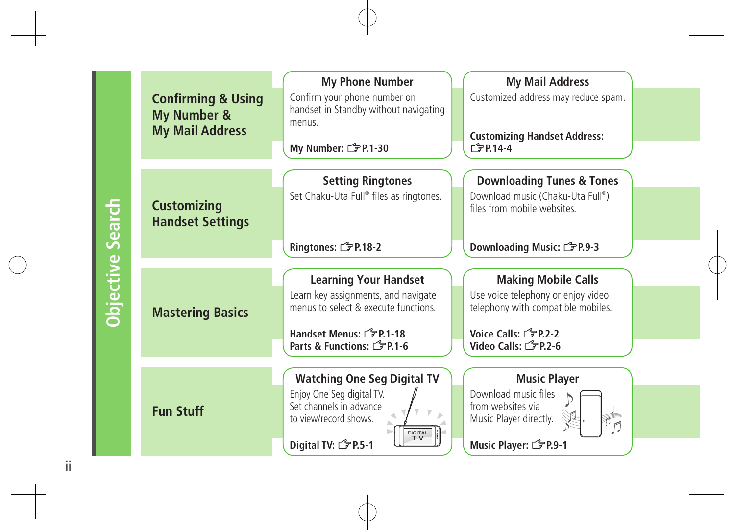|                         | <b>Confirming &amp; Using</b><br>My Number &<br><b>My Mail Address</b> | <b>My Phone Number</b><br>Confirm your phone number on<br>handset in Standby without navigating<br>menus.<br>My Number: <del>『</del> P.1-30                           | <b>My Mail Address</b><br>Customized address may reduce spam.<br><b>Customizing Handset Address:</b><br>$\sqrt{7}$ P.14-4                                       |
|-------------------------|------------------------------------------------------------------------|-----------------------------------------------------------------------------------------------------------------------------------------------------------------------|-----------------------------------------------------------------------------------------------------------------------------------------------------------------|
| <b>Objective Search</b> | <b>Customizing</b><br><b>Handset Settings</b>                          | <b>Setting Ringtones</b><br>Set Chaku-Uta Full® files as ringtones.<br>Ringtones: <sup>2</sup> P.18-2                                                                 | <b>Downloading Tunes &amp; Tones</b><br>Download music (Chaku-Uta Full®)<br>files from mobile websites.<br>Downloading Music: <del>『</del> P.9-3                |
|                         |                                                                        |                                                                                                                                                                       |                                                                                                                                                                 |
|                         | <b>Mastering Basics</b>                                                | <b>Learning Your Handset</b><br>Learn key assignments, and navigate<br>menus to select & execute functions.<br>Handset Menus: FP.1-18<br>Parts & Functions: FP.1-6    | <b>Making Mobile Calls</b><br>Use voice telephony or enjoy video<br>telephony with compatible mobiles.<br>Voice Calls: (2P.2-2)<br>Video Calls: <a> 5 P.2-6</a> |
|                         |                                                                        |                                                                                                                                                                       |                                                                                                                                                                 |
|                         | <b>Fun Stuff</b>                                                       | <b>Watching One Seg Digital TV</b><br>Enjoy One Seg digital TV.<br>Set channels in advance<br>to view/record shows.<br>DIGITAL<br>TV<br>Digital TV: <del></del> P.5-1 | <b>Music Player</b><br>Download music files<br>from websites via<br>Music Player directly.<br>Music Player: <a>&gt;CPP.9-1</a>                                  |

ii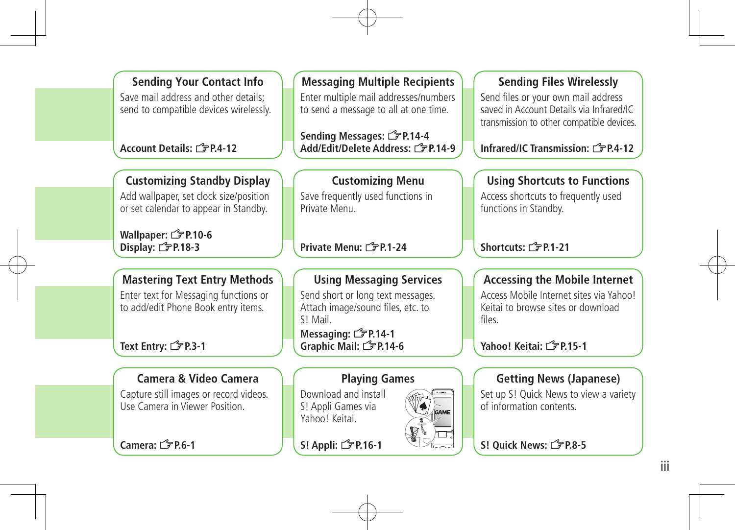**Sending Your Contact Info** Save mail address and other details; send to compatible devices wirelessly.

#### **Account Details: <sup>2</sup>P.4-12**

### **Customizing Standby Display**

Add wallpaper, set clock size/position or set calendar to appear in Standby.

**Wallpaper: <del>掌</del>P.10-6 Display:** Z**P.18-3**

### **Mastering Text Entry Methods**

Enter text for Messaging functions or to add/edit Phone Book entry items.

**Text Entry:** Z**P.3-1**

#### **Camera & Video Camera**

Capture still images or record videos. Use Camera in Viewer Position.

**Camera:** Z**P.6-1**

### **Messaging Multiple Recipients**

Enter multiple mail addresses/numbers to send a message to all at one time.

**Sending Messages:** Z**P.14-4 Add/Edit/Delete Address:** Z**P.14-9**

#### **Customizing Menu**

Save frequently used functions in Private Menu.

#### **Private Menu:** Z**P.1-24**

#### **Using Messaging Services**

Send short or long text messages. Attach image/sound files, etc. to S! Mail.

**Messaging: <del></del>**  $\mathcal{F}$  **P.14-1 Graphic Mail:** Z**P.14-6**

#### **Playing Games**

Download and install S! Appli Games via Yahoo! Keitai.

**S! Appli:** Z**P.16-1**



Send files or your own mail address saved in Account Details via Infrared/IC transmission to other compatible devices.

**Infrared/IC Transmission: <sup>2</sup><sub>P.4-12</sub>** 

#### **Using Shortcuts to Functions**

Access shortcuts to frequently used functions in Standby.

**Shortcuts:** Z**P.1-21**

#### **Accessing the Mobile Internet**

Access Mobile Internet sites via Yahoo! Keitai to browse sites or download files.

**Yahoo! Keitai:** Z**P.15-1**

#### **Getting News (Japanese)**

Set up S! Quick News to view a variety of information contents.

**S! Quick News:** Z**P.8-5**

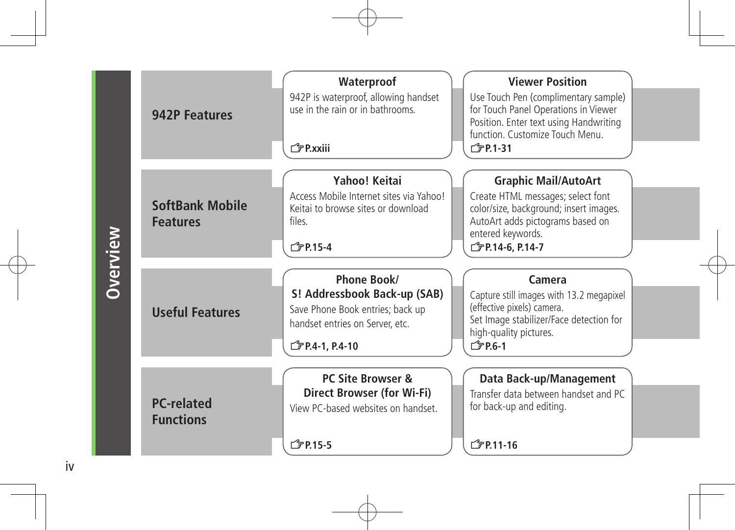|                 | 942P Features                             | Waterproof<br>942P is waterproof, allowing handset<br>use in the rain or in bathrooms.<br>「『テP.xxiii                                                      | <b>Viewer Position</b><br>Use Touch Pen (complimentary sample)<br>for Touch Panel Operations in Viewer<br>Position. Enter text using Handwriting<br>function. Customize Touch Menu.<br><b>子P.1-31</b> |
|-----------------|-------------------------------------------|-----------------------------------------------------------------------------------------------------------------------------------------------------------|-------------------------------------------------------------------------------------------------------------------------------------------------------------------------------------------------------|
| <b>Overview</b> | <b>SoftBank Mobile</b><br><b>Features</b> | Yahoo! Keitai<br>Access Mobile Internet sites via Yahoo!<br>Keitai to browse sites or download<br>files.<br><b>子P.15-4</b>                                | <b>Graphic Mail/AutoArt</b><br>Create HTML messages; select font<br>color/size, background; insert images.<br>AutoArt adds pictograms based on<br>entered keywords.<br><b>子P.14-6, P.14-7</b>         |
|                 | <b>Useful Features</b>                    | Phone Book/<br>S! Addressbook Back-up (SAB)<br>Save Phone Book entries; back up<br>handset entries on Server, etc.<br><b>C</b> <sub>P</sub> P.4-1, P.4-10 | Camera<br>Capture still images with 13.2 megapixel<br>(effective pixels) camera.<br>Set Image stabilizer/Face detection for<br>high-quality pictures.<br><b>子P.6-1</b>                                |
|                 | <b>PC-related</b><br><b>Functions</b>     | <b>PC Site Browser &amp;</b><br><b>Direct Browser (for Wi-Fi)</b><br>View PC-based websites on handset.<br><b>C</b> <sub>P</sub> P <sub>15-5</sub>        | Data Back-up/Management<br>Transfer data between handset and PC<br>for back-up and editing.<br><b>f</b> P.11-16                                                                                       |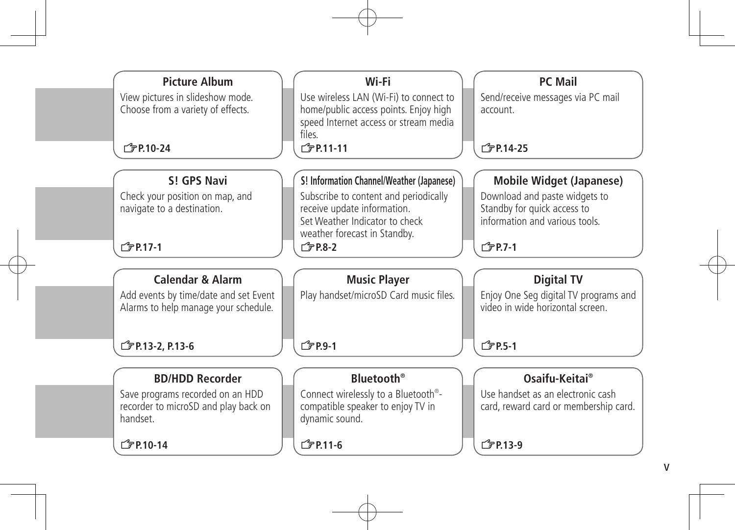| Wi-Fi                                                                                                                              | <b>PC Mail</b>                                                                                             |
|------------------------------------------------------------------------------------------------------------------------------------|------------------------------------------------------------------------------------------------------------|
| Use wireless LAN (Wi-Fi) to connect to<br>home/public access points. Enjoy high<br>speed Internet access or stream media<br>files. | Send/receive messages via PC mail<br>account.                                                              |
| <b>广</b> 尹P.11-11                                                                                                                  | <b>子P.14-25</b>                                                                                            |
|                                                                                                                                    | <b>Mobile Widget (Japanese)</b>                                                                            |
| Subscribe to content and periodically<br>receive update information.<br>Set Weather Indicator to check                             | Download and paste widgets to<br>Standby for quick access to<br>information and various tools.             |
| $\sqrt{7}$ P.8-2                                                                                                                   | $\sqrt{7}$ P.7-1                                                                                           |
|                                                                                                                                    |                                                                                                            |
| <b>Music Player</b>                                                                                                                | <b>Digital TV</b>                                                                                          |
| Play handset/microSD Card music files.                                                                                             | Enjoy One Seg digital TV programs and<br>video in wide horizontal screen.                                  |
| <b>广字P.9-1</b>                                                                                                                     | <b>子P.5-1</b>                                                                                              |
|                                                                                                                                    |                                                                                                            |
|                                                                                                                                    | Osaifu-Keitai®                                                                                             |
| Connect wirelessly to a Bluetooth <sup>®</sup> -<br>compatible speaker to enjoy TV in<br>dynamic sound.                            | Use handset as an electronic cash<br>card, reward card or membership card.                                 |
|                                                                                                                                    |                                                                                                            |
|                                                                                                                                    | S! Information Channel/Weather (Japanese)<br>weather forecast in Standby.<br><b>Rluetooth</b> <sup>®</sup> |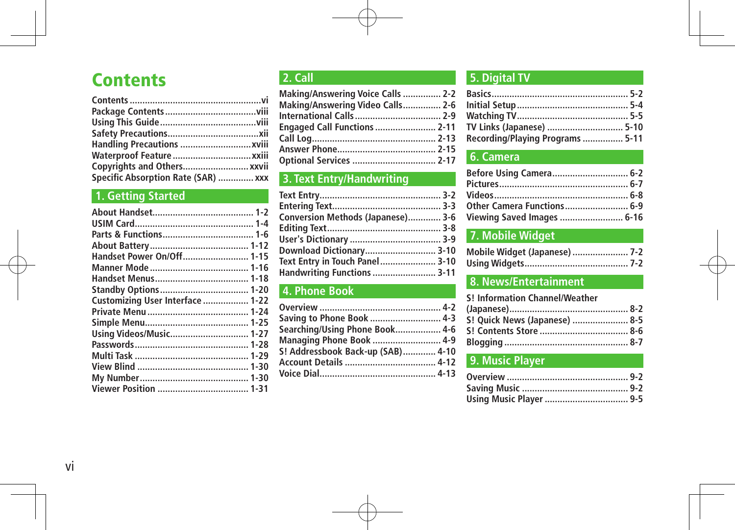## **Contents**

| Copyrights and Others xxvii         |  |
|-------------------------------------|--|
| Specific Absorption Rate (SAR)  xxx |  |

### **1. Getting Started**

| Handset Power On/Off 1-15        |  |
|----------------------------------|--|
|                                  |  |
|                                  |  |
|                                  |  |
| Customizing User Interface  1-22 |  |
|                                  |  |
|                                  |  |
| Using Videos/Music 1-27          |  |
|                                  |  |
|                                  |  |
|                                  |  |
|                                  |  |
|                                  |  |
|                                  |  |

#### **2. Call**

| Making/Answering Voice Calls  2-2   |  |
|-------------------------------------|--|
| Making/Answering Video Calls 2-6    |  |
|                                     |  |
| <b>Engaged Call Functions  2-11</b> |  |
|                                     |  |
|                                     |  |
| Optional Services  2-17             |  |

### **3. Text Entry/Handwriting**

| Conversion Methods (Japanese) 3-6 |  |
|-----------------------------------|--|
|                                   |  |
|                                   |  |
| Download Dictionary 3-10          |  |
| Text Entry in Touch Panel 3-10    |  |
| Handwriting Functions  3-11       |  |
|                                   |  |

#### **4. Phone Book**

| Saving to Phone Book  4-3         |  |
|-----------------------------------|--|
| Searching/Using Phone Book 4-6    |  |
| <b>Managing Phone Book  4-9</b>   |  |
| S! Addressbook Back-up (SAB) 4-10 |  |
|                                   |  |
|                                   |  |
|                                   |  |

#### **5. Digital TV**

| TV Links (Japanese)  5-10        |  |
|----------------------------------|--|
| Recording/Playing Programs  5-11 |  |

### **6. Camera**

| Before Using Camera 6-2    |  |
|----------------------------|--|
|                            |  |
|                            |  |
| Other Camera Functions 6-9 |  |
| Viewing Saved Images  6-16 |  |

#### **7. Mobile Widget**

| Mobile Widget (Japanese)  7-2 |  |
|-------------------------------|--|
|                               |  |

#### **8. News/Entertainment**

| S! Information Channel/Weather |  |
|--------------------------------|--|
|                                |  |
| S! Quick News (Japanese)  8-5  |  |
|                                |  |
|                                |  |

### **9. Music Player**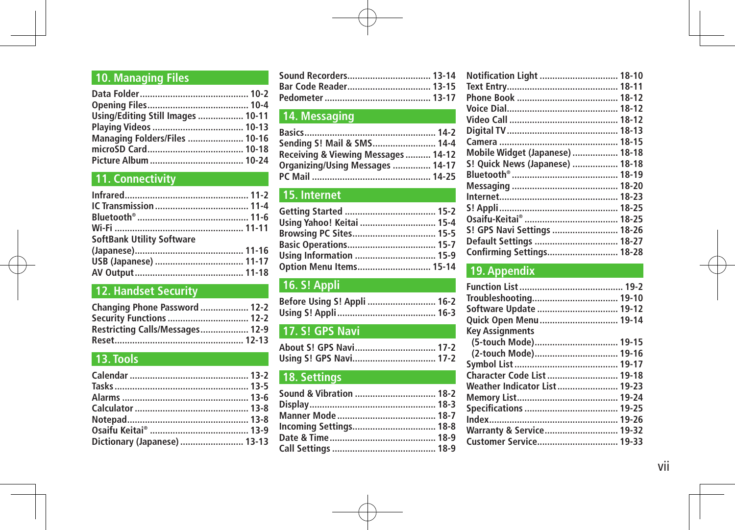#### **10. Managing Files**

| Using/Editing Still Images  10-11    |
|--------------------------------------|
|                                      |
| <b>Managing Folders/Files  10-16</b> |
|                                      |
|                                      |
|                                      |

### **11. Connectivity**

| <b>SoftBank Utility Software</b> |  |
|----------------------------------|--|
|                                  |  |
|                                  |  |
|                                  |  |

### **12. Handset Security**

| Changing Phone Password  12-2   |  |
|---------------------------------|--|
| <b>Security Functions  12-2</b> |  |
| Restricting Calls/Messages 12-9 |  |
|                                 |  |

### **13. Tools**

| Dictionary (Japanese)  13-13 |
|------------------------------|
|                              |

| Sound Recorders 13-14 |  |
|-----------------------|--|
| Bar Code Reader 13-15 |  |
|                       |  |

#### **14. Messaging**

| Sending S! Mail & SMS 14-4          |  |
|-------------------------------------|--|
| Receiving & Viewing Messages  14-12 |  |
| Organizing/Using Messages  14-17    |  |
|                                     |  |

#### **15. Internet**

| Using Yahoo! Keitai  15-4 |  |
|---------------------------|--|
| Browsing PC Sites 15-5    |  |
|                           |  |
| Using Information  15-9   |  |
| Option Menu Items 15-14   |  |

### **16. S! Appli**

| Before Using S! Appli  16-2 |  |
|-----------------------------|--|
|                             |  |

### **17. S! GPS Navi**

| About S! GPS Navi 17-2 |  |
|------------------------|--|
| Using S! GPS Navi 17-2 |  |

#### **18. Settings**

| Sound & Vibration  18-2 |  |
|-------------------------|--|
|                         |  |
|                         |  |
| Incoming Settings 18-8  |  |
|                         |  |
|                         |  |

| Notification Light  18-10       |  |
|---------------------------------|--|
|                                 |  |
|                                 |  |
|                                 |  |
|                                 |  |
|                                 |  |
|                                 |  |
| Mobile Widget (Japanese)  18-18 |  |
| S! Quick News (Japanese)  18-18 |  |
|                                 |  |
|                                 |  |
|                                 |  |
|                                 |  |
|                                 |  |
| S! GPS Navi Settings  18-26     |  |
| Default Settings  18-27         |  |
| Confirming Settings 18-28       |  |
|                                 |  |

#### **19. Appendix**

| Software Update  19-12       |  |
|------------------------------|--|
| Quick Open Menu  19-14       |  |
| <b>Key Assignments</b>       |  |
| (5-touch Mode) 19-15         |  |
| (2-touch Mode) 19-16         |  |
|                              |  |
| Character Code List 19-18    |  |
| Weather Indicator List 19-23 |  |
|                              |  |
|                              |  |
|                              |  |
| Warranty & Service 19-32     |  |
| Customer Service 19-33       |  |
|                              |  |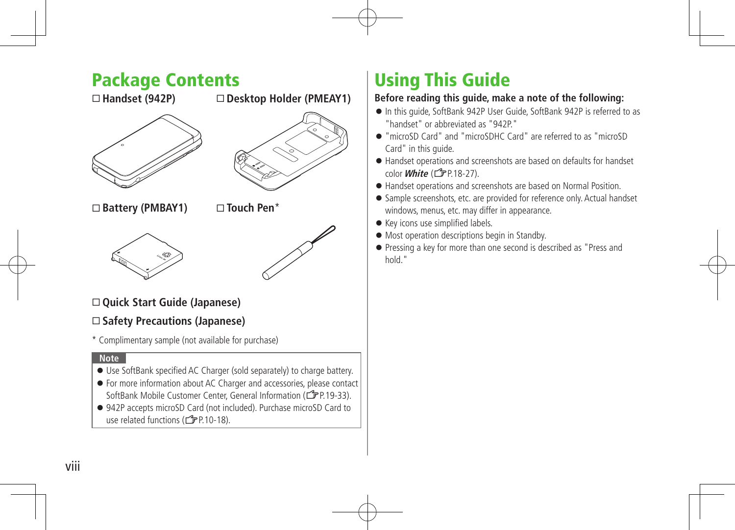### Package Contents

 **Handset (942P)**

#### **Desktop Holder (PMEAY1)**





 **Battery (PMBAY1)**

 **Touch Pen**\*





#### **Quick Start Guide (Japanese)**

#### **Safety Precautions (Japanese)**

\* Complimentary sample (not available for purchase)

#### **Note**

- Use SoftBank specified AC Charger (sold separately) to charge battery.
- For more information about AC Charger and accessories, please contact SoftBank Mobile Customer Center, General Information (CPP.19-33).
- 942P accepts microSD Card (not included). Purchase microSD Card to use related functions  $(\mathbb{Z}\mathbb{P}P10-18)$ .

# Using This Guide

#### **Before reading this guide, make a note of the following:**

- In this guide, SoftBank 942P User Guide, SoftBank 942P is referred to as "handset" or abbreviated as "942P."
- "microSD Card" and "microSDHC Card" are referred to as "microSD Card" in this guide.
- Handset operations and screenshots are based on defaults for handset color *White* (<del>掌</del>P.18-27).
- Handset operations and screenshots are based on Normal Position.
- Sample screenshots, etc. are provided for reference only. Actual handset windows, menus, etc. may differ in appearance.
- Key icons use simplified labels.
- $\bullet$  Most operation descriptions begin in Standby.
- Pressing a key for more than one second is described as "Press and hold."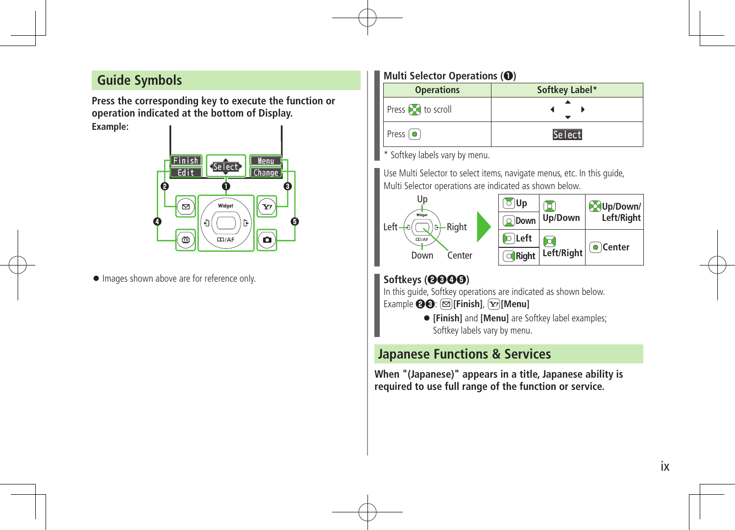### **Guide Symbols**

**Press the corresponding key to execute the function or operation indicated at the bottom of Display.**

**Example:**



 $\bullet$  Images shown above are for reference only.

#### **Multi Selector Operations (❶)**

| <b>Operations</b>       | Softkey Label* |
|-------------------------|----------------|
| Press o to scroll       |                |
| Press $\boxed{\bullet}$ | Select         |

\* Softkey labels vary by menu.

Use Multi Selector to select items, navigate menus, etc. In this guide, Multi Selector operations are indicated as shown below.



#### **Softkeys (❷❸❹❺)**

In this guide, Softkey operations are indicated as shown below.

- Example **@@**: **@**[Finish],  $\boxed{\mathbf{x}}$ [Menu]
	- **[Finish]** and **[Menu]** are Softkey label examples; Softkey labels vary by menu.

### **Japanese Functions & Services**

**When "(Japanese)" appears in a title, Japanese ability is required to use full range of the function or service.**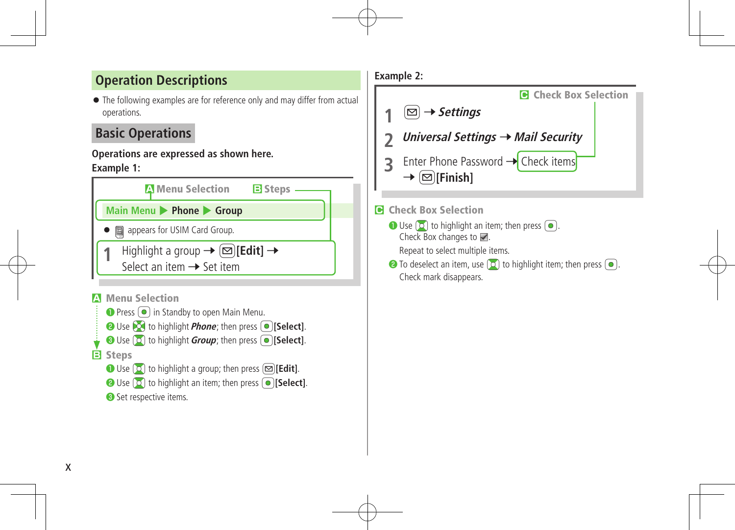### **Operation Descriptions**

 The following examples are for reference only and may differ from actual operations.

### **Basic Operations**

#### **Operations are expressed as shown here. Example 1:**







#### **C** Check Box Selection

 $\bigcirc$  Use  $\bigcirc$  to highlight an item; then press  $\bigcirc$ . Check Box changes to  $\blacksquare$ .

Repeat to select multiple items.

 $\bullet$  To deselect an item, use  $\circledcirc$  to highlight item; then press  $\circledcirc$ . Check mark disappears.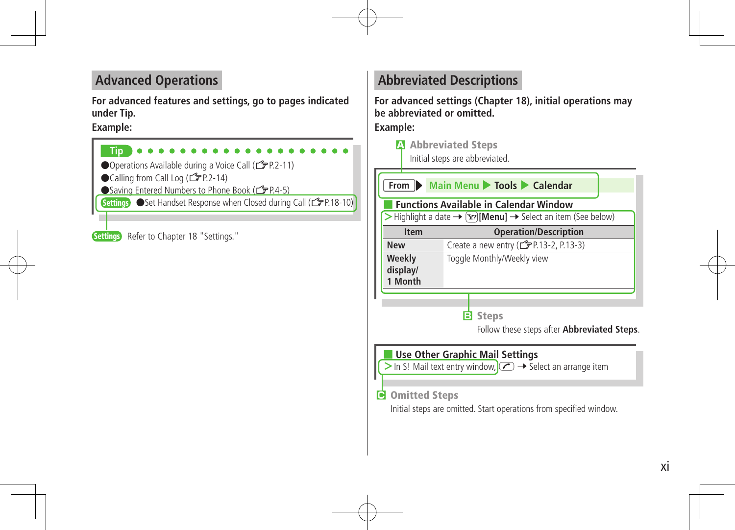### **Advanced Operations**

**For advanced features and settings, go to pages indicated under Tip.**

#### **Example:**



### **Abbreviated Descriptions**

**For advanced settings (Chapter 18), initial operations may be abbreviated or omitted. Example:**

**A** Abbreviated Steps

Initial steps are abbreviated.

|                                                                                                                                                                                                                        | From Main Menu Tools Calendar         |  |  |
|------------------------------------------------------------------------------------------------------------------------------------------------------------------------------------------------------------------------|---------------------------------------|--|--|
| <b>Functions Available in Calendar Window</b><br>Highlight a date $\rightarrow \infty$ [Menu] $\rightarrow$ Select an item (See below)                                                                                 |                                       |  |  |
| <b>Operation/Description</b><br><b>Item</b>                                                                                                                                                                            |                                       |  |  |
| <b>New</b>                                                                                                                                                                                                             | Create a new entry (read = 2, P.13-3) |  |  |
| Weekly<br>Toggle Monthly/Weekly view<br>display/<br>1 Month                                                                                                                                                            |                                       |  |  |
| <b>B</b> Steps<br>Follow these steps after <b>Abbreviated Steps</b> .                                                                                                                                                  |                                       |  |  |
| <b>Use Other Graphic Mail Settings</b><br>> In S! Mail text entry window, $\circ$ $\rightarrow$ Select an arrange item<br><b>G</b> Omitted Steps<br>Initial steps are omitted. Start operations from specified window. |                                       |  |  |
|                                                                                                                                                                                                                        |                                       |  |  |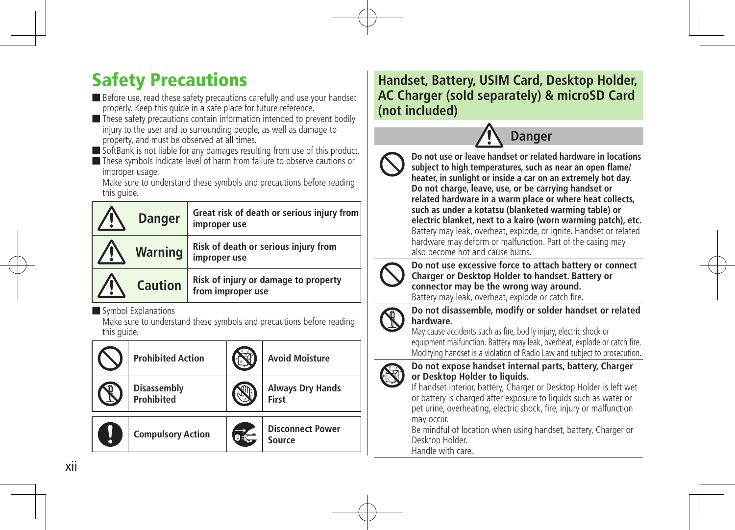# Safety Precautions

■ Before use, read these safety precautions carefully and use your handset properly. Keep this quide in a safe place for future reference.

■ These safety precautions contain information intended to prevent bodily injury to the user and to surrounding people, as well as damage to property, and must be observed at all times.

■ SoftBank is not liable for any damages resulting from use of this product.

■ These symbols indicate level of harm from failure to observe cautions or improper usage.

Make sure to understand these symbols and precautions before reading this guide.

| <b>Danger</b>  | Great risk of death or serious injury from<br>improper use |
|----------------|------------------------------------------------------------|
| <b>Warning</b> | Risk of death or serious injury from<br>improper use       |
| <b>Caution</b> | Risk of injury or damage to property<br>from improper use  |

■ Symbol Explanations

Make sure to understand these symbols and precautions before reading this quide.

| <b>Prohibited Action</b>                | <b>Avoid Moisture</b>             |
|-----------------------------------------|-----------------------------------|
| <b>Disassembly</b><br><b>Prohibited</b> | <b>Always Dry Hands</b><br>First  |
| <b>Compulsory Action</b>                | <b>Disconnect Power</b><br>Source |

### **Handset, Battery, USIM Card, Desktop Holder, AC Charger (sold separately) & microSD Card (not included)**



**Do not use or leave handset or related hardware in locations subject to high temperatures, such as near an open flame/ heater, in sunlight or inside a car on an extremely hot day. Do not charge, leave, use, or be carrying handset or related hardware in a warm place or where heat collects, such as under a kotatsu (blanketed warming table) or electric blanket, next to a kairo (worn warming patch), etc.** Battery may leak, overheat, explode, or ignite. Handset or related hardware may deform or malfunction. Part of the casing may also become hot and cause burns.



**Do not use excessive force to attach battery or connect Charger or Desktop Holder to handset. Battery or connector may be the wrong way around.**

Battery may leak, overheat, explode or catch fire.



**Do not disassemble, modify or solder handset or related hardware.**

May cause accidents such as fire, bodily injury, electric shock or equipment malfunction. Battery may leak, overheat, explode or catch fire. Modifying handset is a violation of Radio Law and subject to prosecution.



#### **Do not expose handset internal parts, battery, Charger or Desktop Holder to liquids.**

If handset interior, battery, Charger or Desktop Holder is left wet or battery is charged after exposure to liquids such as water or pet urine, overheating, electric shock, fire, injury or malfunction may occur.

Be mindful of location when using handset, battery, Charger or Desktop Holder. Handle with care.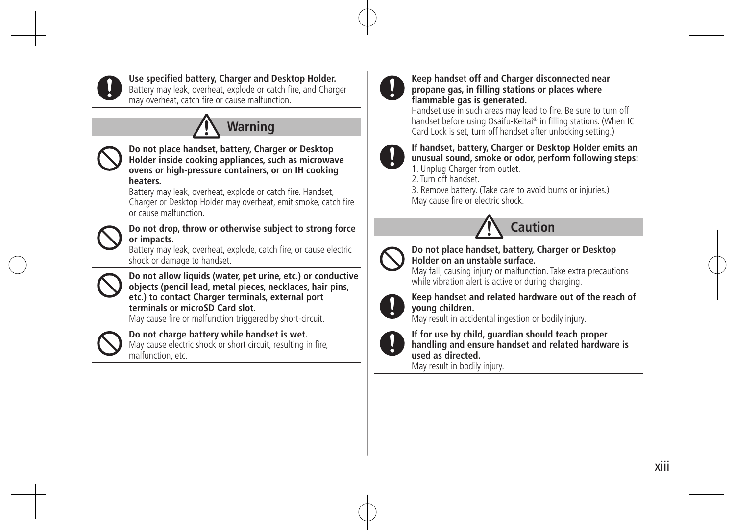

#### **Use specified battery, Charger and Desktop Holder.**

Battery may leak, overheat, explode or catch fire, and Charger may overheat, catch fire or cause malfunction.





#### **Do not place handset, battery, Charger or Desktop Holder inside cooking appliances, such as microwave ovens or high-pressure containers, or on IH cooking heaters.**

Battery may leak, overheat, explode or catch fire. Handset, Charger or Desktop Holder may overheat, emit smoke, catch fire or cause malfunction.



#### **Do not drop, throw or otherwise subject to strong force or impacts.**

Battery may leak, overheat, explode, catch fire, or cause electric shock or damage to handset.



**Do not allow liquids (water, pet urine, etc.) or conductive objects (pencil lead, metal pieces, necklaces, hair pins, etc.) to contact Charger terminals, external port terminals or microSD Card slot.**

May cause fire or malfunction triggered by short-circuit.



#### **Do not charge battery while handset is wet.** May cause electric shock or short circuit, resulting in fire,

malfunction, etc.



#### **Keep handset off and Charger disconnected near propane gas, in filling stations or places where flammable gas is generated.**

Handset use in such areas may lead to fire. Be sure to turn off handset before using Osaifu-Keitai® in filling stations. (When IC Card Lock is set, turn off handset after unlocking setting.)



#### **If handset, battery, Charger or Desktop Holder emits an unusual sound, smoke or odor, perform following steps:** 1. Unplug Charger from outlet.

2. Turn off handset.

3. Remove battery. (Take care to avoid burns or injuries.) May cause fire or electric shock.



#### **Do not place handset, battery, Charger or Desktop Holder on an unstable surface.**

May fall, causing injury or malfunction. Take extra precautions while vibration alert is active or during charging.



#### **Keep handset and related hardware out of the reach of young children.**

May result in accidental ingestion or bodily injury.



**If for use by child, guardian should teach proper handling and ensure handset and related hardware is used as directed.**

May result in bodily injury.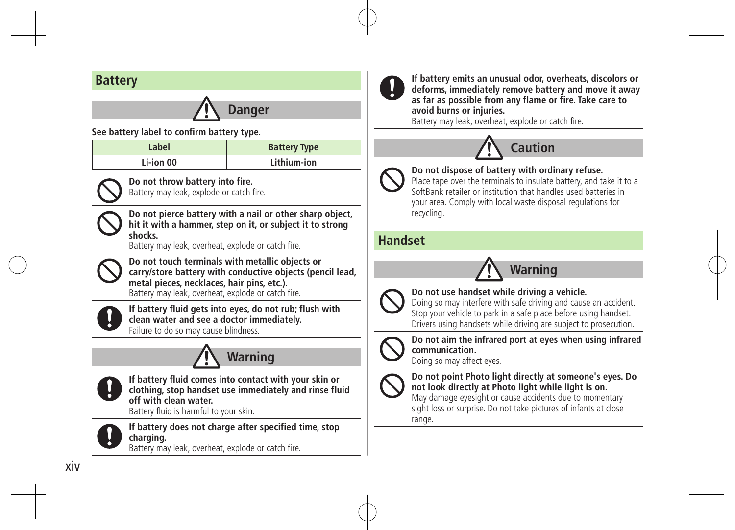### **Battery**

# **Danger**

**See battery label to confirm battery type.**

| Label     | <b>Battery Type</b> |
|-----------|---------------------|
| Li-ion 00 | Lithium-ion         |



**Do not throw battery into fire.** Battery may leak, explode or catch fire.

**Do not pierce battery with a nail or other sharp object, hit it with a hammer, step on it, or subject it to strong shocks.**

Battery may leak, overheat, explode or catch fire.



**Do not touch terminals with metallic objects or carry/store battery with conductive objects (pencil lead, metal pieces, necklaces, hair pins, etc.).** Battery may leak, overheat, explode or catch fire.



**If battery fluid gets into eyes, do not rub; flush with clean water and see a doctor immediately.** Failure to do so may cause blindness.





**If battery fluid comes into contact with your skin or clothing, stop handset use immediately and rinse fluid off with clean water.**

Battery fluid is harmful to your skin.



**If battery does not charge after specified time, stop charging.**

Battery may leak, overheat, explode or catch fire.



**If battery emits an unusual odor, overheats, discolors or deforms, immediately remove battery and move it away as far as possible from any flame or fire. Take care to avoid burns or injuries.**

Battery may leak, overheat, explode or catch fire.



**Do not dispose of battery with ordinary refuse.**

Place tape over the terminals to insulate battery, and take it to a SoftBank retailer or institution that handles used batteries in your area. Comply with local waste disposal regulations for recycling.

### **Handset**





#### **Do not use handset while driving a vehicle.**

Doing so may interfere with safe driving and cause an accident. Stop your vehicle to park in a safe place before using handset. Drivers using handsets while driving are subject to prosecution.



#### **Do not aim the infrared port at eyes when using infrared communication.**

Doing so may affect eyes.



**Do not point Photo light directly at someone's eyes. Do not look directly at Photo light while light is on.**

May damage eyesight or cause accidents due to momentary sight loss or surprise. Do not take pictures of infants at close range.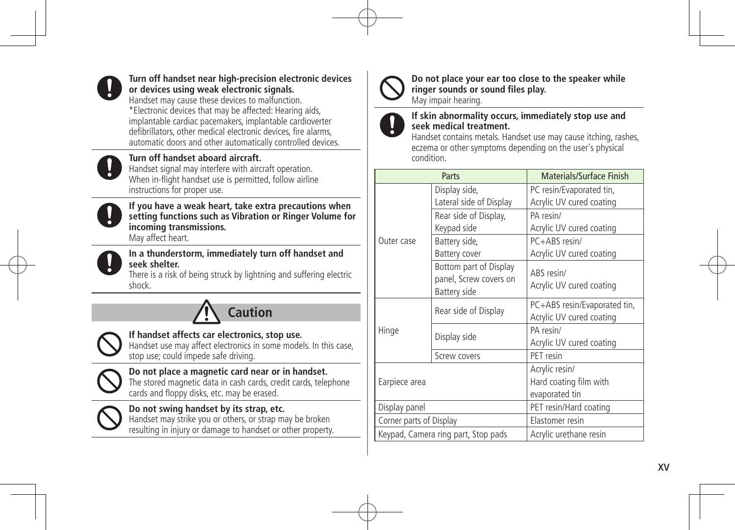

#### **Turn off handset near high-precision electronic devices or devices using weak electronic signals.**

Handset may cause these devices to malfunction. \*Electronic devices that may be affected: Hearing aids, implantable cardiac pacemakers, implantable cardioverter defibrillators, other medical electronic devices, fire alarms, automatic doors and other automatically controlled devices.



#### **Turn off handset aboard aircraft.**

Handset signal may interfere with aircraft operation. When in-flight handset use is permitted, follow airline instructions for proper use.



**If you have a weak heart, take extra precautions when setting functions such as Vibration or Ringer Volume for incoming transmissions.** May affect heart.



**In a thunderstorm, immediately turn off handset and seek shelter.**

There is a risk of being struck by lightning and suffering electric shock.



#### **If handset affects car electronics, stop use.**

Handset use may affect electronics in some models. In this case, stop use; could impede safe driving.



**Do not place a magnetic card near or in handset.** The stored magnetic data in cash cards, credit cards, telephone cards and floppy disks, etc. may be erased.



#### **Do not swing handset by its strap, etc.** Handset may strike you or others, or strap may be broken resulting in injury or damage to handset or other property.



**Do not place your ear too close to the speaker while ringer sounds or sound files play.**

May impair hearing.



#### **If skin abnormality occurs, immediately stop use and seek medical treatment.**

Handset contains metals. Handset use may cause itching, rashes, eczema or other symptoms depending on the user's physical condition.

| Parts                               |                         | Materials/Surface Finish     |  |
|-------------------------------------|-------------------------|------------------------------|--|
|                                     | Display side,           | PC resin/Evaporated tin,     |  |
|                                     | Lateral side of Display | Acrylic UV cured coating     |  |
|                                     | Rear side of Display,   | PA resin/                    |  |
|                                     | Keypad side             | Acrylic UV cured coating     |  |
| Outer case                          | Battery side,           | PC+ABS resin/                |  |
|                                     | Battery cover           | Acrylic UV cured coating     |  |
|                                     | Bottom part of Display  | ABS resin/                   |  |
|                                     | panel, Screw covers on  | Acrylic UV cured coating     |  |
|                                     | Battery side            |                              |  |
|                                     | Rear side of Display    | PC+ABS resin/Evaporated tin, |  |
|                                     |                         | Acrylic UV cured coating     |  |
| Hinge                               | Display side            | PA resin/                    |  |
|                                     |                         | Acrylic UV cured coating     |  |
|                                     | Screw covers            | PET resin                    |  |
| Earpiece area                       |                         | Acrylic resin/               |  |
|                                     |                         | Hard coating film with       |  |
|                                     |                         | evaporated tin               |  |
| Display panel                       |                         | PET resin/Hard coating       |  |
| Corner parts of Display             |                         | Elastomer resin              |  |
| Keypad, Camera ring part, Stop pads |                         | Acrylic urethane resin       |  |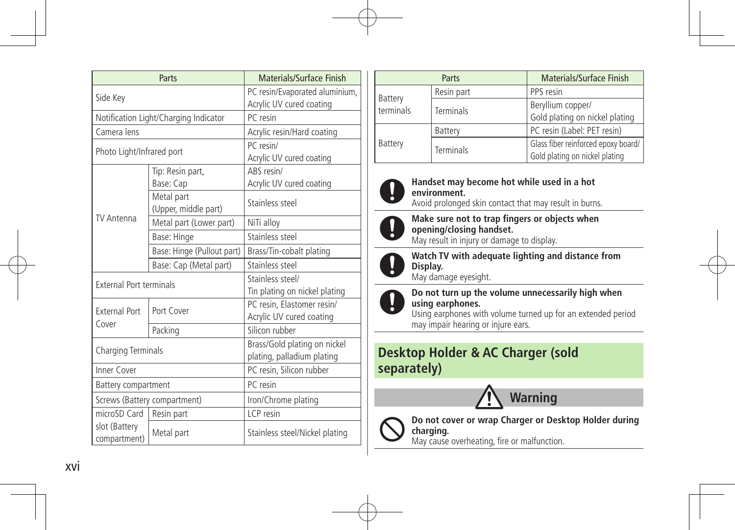| Parts                                       |                                       | Materials/Surface Finish       |  |
|---------------------------------------------|---------------------------------------|--------------------------------|--|
| Side Key                                    |                                       | PC resin/Evaporated aluminium, |  |
|                                             |                                       | Acrylic UV cured coating       |  |
|                                             | Notification Light/Charging Indicator | PC resin                       |  |
| Camera lens                                 |                                       | Acrylic resin/Hard coating     |  |
| Photo Light/Infrared port                   |                                       | PC resin/                      |  |
|                                             |                                       | Acrylic UV cured coating       |  |
|                                             | Tip: Resin part,                      | ARS resin/                     |  |
|                                             | Base: Cap                             | Acrylic UV cured coating       |  |
|                                             | Metal part<br>(Upper, middle part)    | Stainless steel                |  |
| <b>TV Antenna</b>                           | Metal part (Lower part)               | NiTi alloy                     |  |
|                                             | Base: Hinge                           | Stainless steel                |  |
|                                             | Base: Hinge (Pullout part)            | Brass/Tin-cobalt plating       |  |
|                                             | Base: Cap (Metal part)                | Stainless steel                |  |
| <b>External Port terminals</b>              |                                       | Stainless steel/               |  |
|                                             |                                       | Tin plating on nickel plating  |  |
| <b>External Port</b>                        | Port Cover                            | PC resin, Elastomer resin/     |  |
| Cover                                       |                                       | Acrylic UV cured coating       |  |
|                                             | Packing                               | Silicon rubber                 |  |
| Charging Terminals                          |                                       | Brass/Gold plating on nickel   |  |
|                                             |                                       | plating, palladium plating     |  |
| Inner Cover                                 |                                       | PC resin, Silicon rubber       |  |
| Battery compartment                         |                                       | PC resin                       |  |
| Screws (Battery compartment)                |                                       | Iron/Chrome plating            |  |
| microSD Card   Resin part                   |                                       | ICP resin                      |  |
| slot (Battery<br>Metal part<br>compartment) |                                       | Stainless steel/Nickel plating |  |

|                      | Parts            | Materials/Surface Finish                                              |
|----------------------|------------------|-----------------------------------------------------------------------|
|                      | Resin part       | PPS resin                                                             |
| Battery<br>terminals | <b>Terminals</b> | Beryllium copper/<br>Gold plating on nickel plating                   |
|                      | Battery          | PC resin (Label: PET resin)                                           |
| Battery              | <b>Terminals</b> | Glass fiber reinforced epoxy board/<br>Gold plating on nickel plating |



#### **Handset may become hot while used in a hot environment.**

Avoid prolonged skin contact that may result in burns.



**Make sure not to trap fingers or objects when opening/closing handset.**

May result in injury or damage to display.



**Watch TV with adequate lighting and distance from Display.**

May damage eyesight.



**Do not turn up the volume unnecessarily high when using earphones.**

Using earphones with volume turned up for an extended period may impair hearing or injure ears.

### **Desktop Holder & AC Charger (sold separately)**





**Do not cover or wrap Charger or Desktop Holder during charging.**

May cause overheating, fire or malfunction.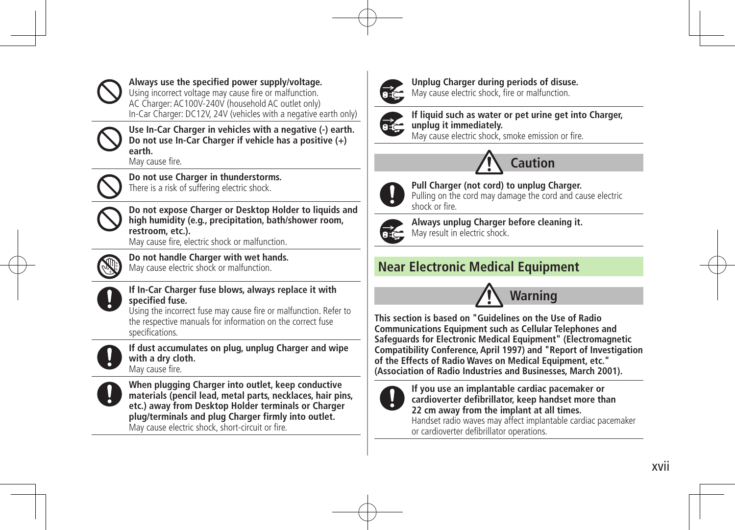

**Always use the specified power supply/voltage.**

Using incorrect voltage may cause fire or malfunction. AC Charger: AC100V-240V (household AC outlet only) In-Car Charger: DC12V, 24V (vehicles with a negative earth only)



**Use In-Car Charger in vehicles with a negative (-) earth. Do not use In-Car Charger if vehicle has a positive (+) earth.**

May cause fire.



**Do not use Charger in thunderstorms.** There is a risk of suffering electric shock.



**Do not expose Charger or Desktop Holder to liquids and high humidity (e.g., precipitation, bath/shower room, restroom, etc.).**

May cause fire, electric shock or malfunction.



**Do not handle Charger with wet hands.** May cause electric shock or malfunction.



#### **If In-Car Charger fuse blows, always replace it with specified fuse.**

Using the incorrect fuse may cause fire or malfunction. Refer to the respective manuals for information on the correct fuse specifications.



**If dust accumulates on plug, unplug Charger and wipe with a dry cloth.**

May cause fire.



**When plugging Charger into outlet, keep conductive materials (pencil lead, metal parts, necklaces, hair pins, etc.) away from Desktop Holder terminals or Charger plug/terminals and plug Charger firmly into outlet.** May cause electric shock, short-circuit or fire.



**Unplug Charger during periods of disuse.** May cause electric shock, fire or malfunction.



**If liquid such as water or pet urine get into Charger, unplug it immediately.** May cause electric shock, smoke emission or fire.

**Caution**



**Pull Charger (not cord) to unplug Charger.**

Pulling on the cord may damage the cord and cause electric shock or fire.



**Always unplug Charger before cleaning it.** May result in electric shock.

### **Near Electronic Medical Equipment**



**This section is based on "Guidelines on the Use of Radio Communications Equipment such as Cellular Telephones and Safeguards for Electronic Medical Equipment" (Electromagnetic Compatibility Conference, April 1997) and "Report of Investigation of the Effects of Radio Waves on Medical Equipment, etc." (Association of Radio Industries and Businesses, March 2001).**



**If you use an implantable cardiac pacemaker or cardioverter defibrillator, keep handset more than 22 cm away from the implant at all times.** Handset radio waves may affect implantable cardiac pacemaker or cardioverter defibrillator operations.

xvii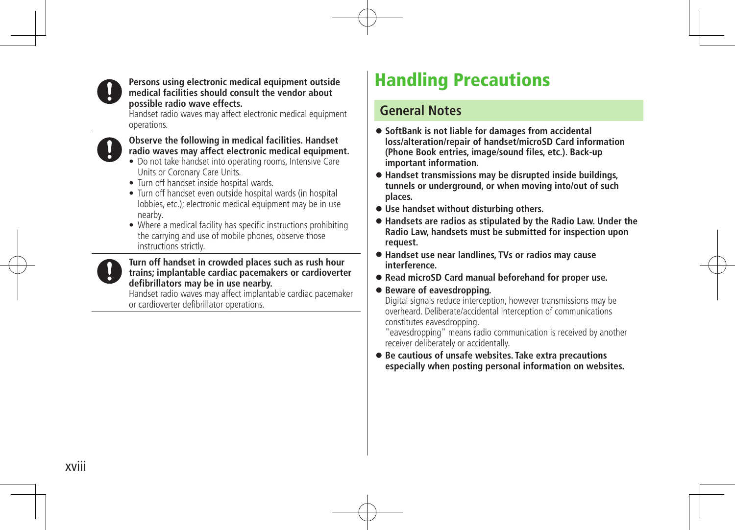

#### **Persons using electronic medical equipment outside medical facilities should consult the vendor about possible radio wave effects.**

Handset radio waves may affect electronic medical equipment operations.



#### **Observe the following in medical facilities. Handset radio waves may affect electronic medical equipment.**

- Do not take handset into operating rooms, Intensive Care Units or Coronary Care Units.
- Turn off handset inside hospital wards.
- Turn off handset even outside hospital wards (in hospital lobbies, etc.); electronic medical equipment may be in use nearby.
- Where a medical facility has specific instructions prohibiting the carrying and use of mobile phones, observe those instructions strictly.

#### **Turn off handset in crowded places such as rush hour trains; implantable cardiac pacemakers or cardioverter defibrillators may be in use nearby.**

Handset radio waves may affect implantable cardiac pacemaker or cardioverter defibrillator operations.

# Handling Precautions

### **General Notes**

- **SoftBank is not liable for damages from accidental loss/alteration/repair of handset/microSD Card information (Phone Book entries, image/sound files, etc.). Back-up important information.**
- **Handset transmissions may be disrupted inside buildings, tunnels or underground, or when moving into/out of such places.**
- **Use handset without disturbing others.**
- **Handsets are radios as stipulated by the Radio Law. Under the Radio Law, handsets must be submitted for inspection upon request.**
- **Handset use near landlines, TVs or radios may cause interference.**
- **Read microSD Card manual beforehand for proper use.**

#### **Beware of eavesdropping.**

Digital signals reduce interception, however transmissions may be overheard. Deliberate/accidental interception of communications constitutes eavesdropping. 

"eavesdropping" means radio communication is received by another receiver deliberately or accidentally.

 **Be cautious of unsafe websites. Take extra precautions especially when posting personal information on websites.**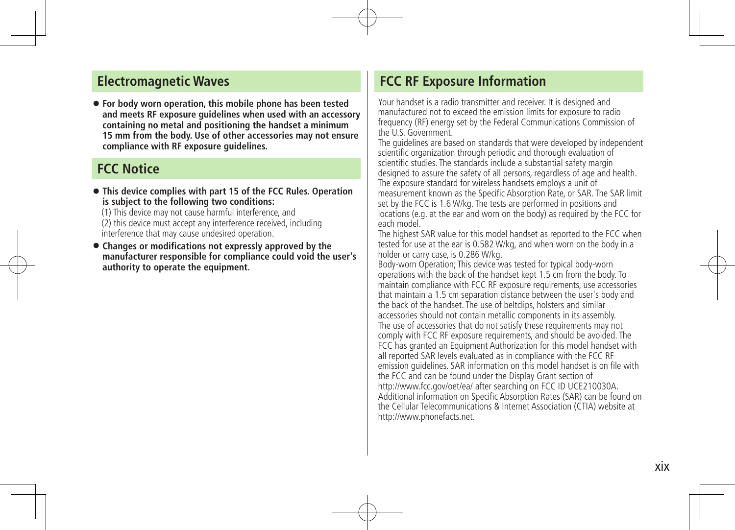#### **Electromagnetic Waves**

 **For body worn operation, this mobile phone has been tested and meets RF exposure guidelines when used with an accessory containing no metal and positioning the handset a minimum 15 mm from the body. Use of other accessories may not ensure compliance with RF exposure guidelines.**

#### **FCC Notice**

 **This device complies with part 15 of the FCC Rules. Operation is subject to the following two conditions:**

(1) This device may not cause harmful interference, and (2) this device must accept any interference received, including interference that may cause undesired operation.

 **Changes or modifications not expressly approved by the manufacturer responsible for compliance could void the user's authority to operate the equipment.** 

### **FCC RF Exposure Information**

Your handset is a radio transmitter and receiver. It is designed and manufactured not to exceed the emission limits for exposure to radio frequency (RF) energy set by the Federal Communications Commission of the U.S. Government.

The guidelines are based on standards that were developed by independent scientific organization through periodic and thorough evaluation of scientific studies. The standards include a substantial safety margin designed to assure the safety of all persons, regardless of age and health. The exposure standard for wireless handsets employs a unit of measurement known as the Specific Absorption Rate, or SAR. The SAR limit set by the FCC is 1.6 W/kg. The tests are performed in positions and locations (e.g. at the ear and worn on the body) as required by the FCC for each model.

The highest SAR value for this model handset as reported to the FCC when tested for use at the ear is 0.582 W/kg, and when worn on the body in a holder or carry case, is 0.286 W/kg.

Body-worn Operation; This device was tested for typical body-worn operations with the back of the handset kept 1.5 cm from the body. To maintain compliance with FCC RF exposure requirements, use accessories that maintain a 1.5 cm separation distance between the user's body and the back of the handset. The use of beltclips, holsters and similar accessories should not contain metallic components in its assembly. The use of accessories that do not satisfy these requirements may not comply with FCC RF exposure requirements, and should be avoided. The FCC has granted an Equipment Authorization for this model handset with all reported SAR levels evaluated as in compliance with the FCC RF emission guidelines. SAR information on this model handset is on file with the FCC and can be found under the Display Grant section of http://www.fcc.gov/oet/ea/ after searching on FCC ID UCE210030A. Additional information on Specific Absorption Rates (SAR) can be found on the Cellular Telecommunications & Internet Association (CTIA) website at http://www.phonefacts.net.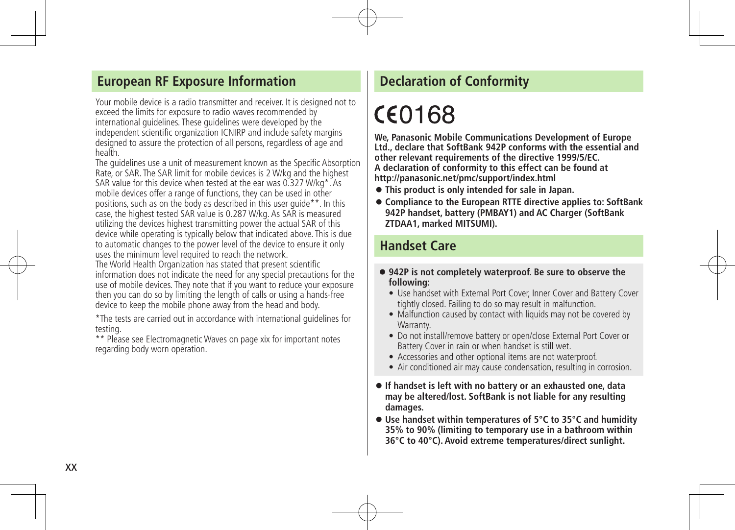#### **European RF Exposure Information**

Your mobile device is a radio transmitter and receiver. It is designed not to exceed the limits for exposure to radio waves recommended by international guidelines. These guidelines were developed by the independent scientific organization ICNIRP and include safety margins designed to assure the protection of all persons, regardless of age and health.

The guidelines use a unit of measurement known as the Specific Absorption Rate, or SAR. The SAR limit for mobile devices is 2 W/kg and the highest SAR value for this device when tested at the ear was 0.327 W/kg\*. As mobile devices offer a range of functions, they can be used in other positions, such as on the body as described in this user guide\*\*. In this case, the highest tested SAR value is 0.287 W/kg. As SAR is measured utilizing the devices highest transmitting power the actual SAR of this device while operating is typically below that indicated above. This is due to automatic changes to the power level of the device to ensure it only uses the minimum level required to reach the network. The World Health Organization has stated that present scientific information does not indicate the need for any special precautions for the

use of mobile devices. They note that if you want to reduce your exposure then you can do so by limiting the length of calls or using a hands-free device to keep the mobile phone away from the head and body.

\*The tests are carried out in accordance with international guidelines for testing.

\*\* Please see Electromagnetic Waves on page xix for important notes regarding body worn operation.

### **Declaration of Conformity**

# CE0168

**We, Panasonic Mobile Communications Development of Europe Ltd., declare that SoftBank 942P conforms with the essential and other relevant requirements of the directive 1999/5/EC. A declaration of conformity to this effect can be found at http://panasonic.net/pmc/support/index.html**

- **This product is only intended for sale in Japan.**
- **Compliance to the European RTTE directive applies to: SoftBank 942P handset, battery (PMBAY1) and AC Charger (SoftBank ZTDAA1, marked MITSUMI).**

### **Handset Care**

- **942P is not completely waterproof. Be sure to observe the following:**
	- **•** Use handset with External Port Cover, Inner Cover and Battery Cover tightly closed. Failing to do so may result in malfunction.
	- Malfunction caused by contact with liquids may not be covered by Warranty.
	- **•** Do not install/remove battery or open/close External Port Cover or Battery Cover in rain or when handset is still wet.
	- **•** Accessories and other optional items are not waterproof.
	- **•** Air conditioned air may cause condensation, resulting in corrosion.
- **If handset is left with no battery or an exhausted one, data may be altered/lost. SoftBank is not liable for any resulting damages.**
- **Use handset within temperatures of 5°C to 35°C and humidity 35% to 90% (limiting to temporary use in a bathroom within 36°C to 40°C). Avoid extreme temperatures/direct sunlight.**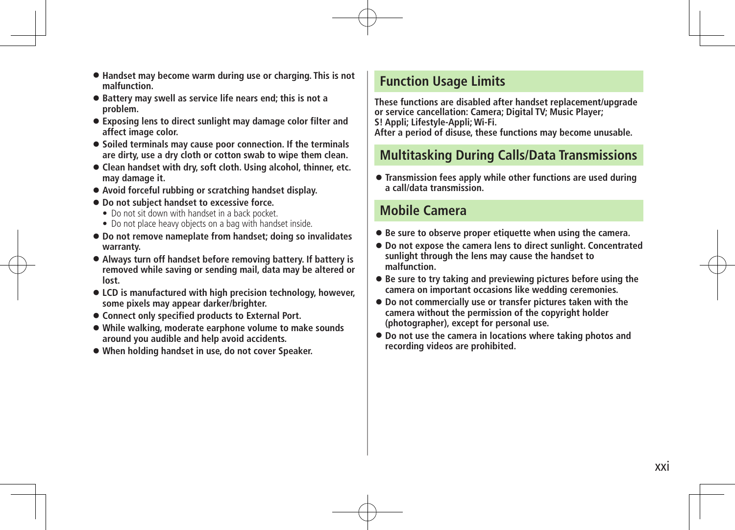- **Handset may become warm during use or charging. This is not malfunction.**
- **Battery may swell as service life nears end; this is not a problem.**
- **Exposing lens to direct sunlight may damage color filter and affect image color.**
- **Soiled terminals may cause poor connection. If the terminals are dirty, use a dry cloth or cotton swab to wipe them clean.**
- **Clean handset with dry, soft cloth. Using alcohol, thinner, etc. may damage it.**
- **Avoid forceful rubbing or scratching handset display.**
- **Do not subject handset to excessive force.**
	- Do not sit down with handset in a back pocket.
	- Do not place heavy objects on a bag with handset inside.
- **Do not remove nameplate from handset; doing so invalidates warranty.**
- **Always turn off handset before removing battery. If battery is removed while saving or sending mail, data may be altered or lost.**
- **LCD is manufactured with high precision technology, however, some pixels may appear darker/brighter.**
- **Connect only specified products to External Port.**
- **While walking, moderate earphone volume to make sounds around you audible and help avoid accidents.**
- **When holding handset in use, do not cover Speaker.**

### **Function Usage Limits**

**These functions are disabled after handset replacement/upgrade or service cancellation: Camera; Digital TV; Music Player; S! Appli; Lifestyle-Appli; Wi-Fi. After a period of disuse, these functions may become unusable.**

### **Multitasking During Calls/Data Transmissions**

 **Transmission fees apply while other functions are used during a call/data transmission.**

#### **Mobile Camera**

- **Be sure to observe proper etiquette when using the camera.**
- **Do not expose the camera lens to direct sunlight. Concentrated sunlight through the lens may cause the handset to malfunction.**
- **Be sure to try taking and previewing pictures before using the camera on important occasions like wedding ceremonies.**
- **Do not commercially use or transfer pictures taken with the camera without the permission of the copyright holder (photographer), except for personal use.**
- **Do not use the camera in locations where taking photos and recording videos are prohibited.**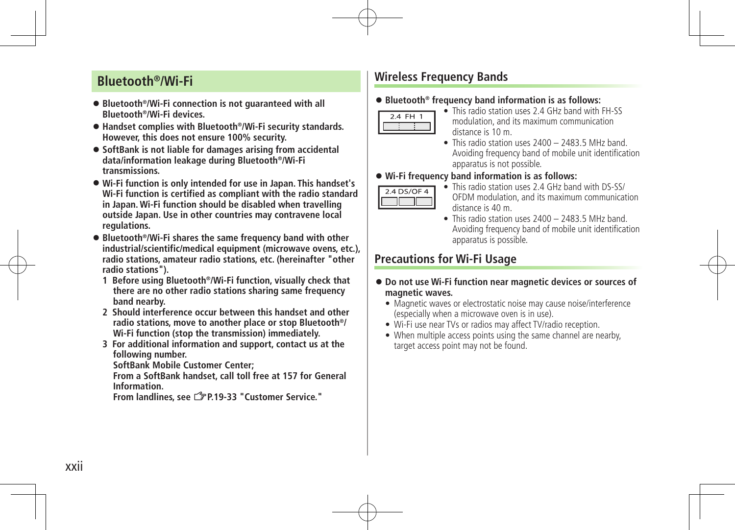### **Bluetooth®/Wi-Fi**

- Bluetooth<sup>®</sup>/Wi-Fi connection is not quaranteed with all **Bluetooth®/Wi-Fi devices.**
- Handset complies with Bluetooth<sup>®</sup>/Wi-Fi security standards. **However, this does not ensure 100% security.**
- **SoftBank is not liable for damages arising from accidental data/information leakage during Bluetooth®/Wi-Fi transmissions.**
- **Wi-Fi function is only intended for use in Japan. This handset's Wi-Fi function is certified as compliant with the radio standard in Japan. Wi-Fi function should be disabled when travelling outside Japan. Use in other countries may contravene local regulations.**
- Bluetooth<sup>®</sup>/Wi-Fi shares the same frequency band with other **industrial/scientific/medical equipment (microwave ovens, etc.), radio stations, amateur radio stations, etc. (hereinafter "other radio stations").**
	- **1 Before using Bluetooth®/Wi-Fi function, visually check that there are no other radio stations sharing same frequency band nearby.**
	- **2 Should interference occur between this handset and other radio stations, move to another place or stop Bluetooth®/ Wi-Fi function (stop the transmission) immediately.**
	- **3 For additional information and support, contact us at the following number.**

**SoftBank Mobile Customer Center;** 

**From a SoftBank handset, call toll free at 157 for General Information.** 

**From landlines, see** Z**P.19-33 "Customer Service."**

### **Wireless Frequency Bands**

#### **Bluetooth® frequency band information is as follows:**



- **•** This radio station uses 2.4 GHz band with FH-SS modulation, and its maximum communication distance is 10 m.
- **•** This radio station uses 2400 2483.5 MHz band. Avoiding frequency band of mobile unit identification apparatus is not possible.

#### **Wi-Fi frequency band information is as follows:**



- This radio station uses 2.4 GHz band with DS-SS/ OFDM modulation, and its maximum communication distance is 40 m.
- **•** This radio station uses 2400 2483.5 MHz band. Avoiding frequency band of mobile unit identification apparatus is possible.

### **Precautions for Wi-Fi Usage**

- **Do not use Wi-Fi function near magnetic devices or sources of magnetic waves.**
	- Magnetic waves or electrostatic noise may cause noise/interference (especially when a microwave oven is in use).
	- Wi-Fi use near TVs or radios may affect TV/radio reception.
	- When multiple access points using the same channel are nearby, target access point may not be found.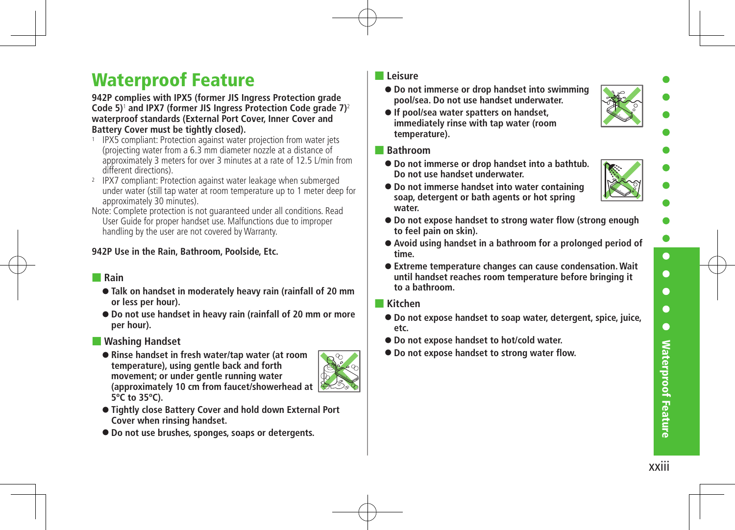# Waterproof Feature

#### **942P complies with IPX5 (former JIS Ingress Protection grade Code 5)**<sup>1</sup>  **and IPX7 (former JIS Ingress Protection Code grade 7)**<sup>2</sup> **waterproof standards (External Port Cover, Inner Cover and Battery Cover must be tightly closed).**

- <sup>1</sup> IPX5 compliant: Protection against water projection from water jets (projecting water from a 6.3 mm diameter nozzle at a distance of approximately 3 meters for over 3 minutes at a rate of 12.5 L/min from different directions).
- <sup>2</sup> IPX7 compliant: Protection against water leakage when submerged under water (still tap water at room temperature up to 1 meter deep for approximately 30 minutes).
- Note: Complete protection is not quaranteed under all conditions. Read User Guide for proper handset use. Malfunctions due to improper handling by the user are not covered by Warranty.

#### **942P Use in the Rain, Bathroom, Poolside, Etc.**

#### ■ **Rain**

- **Talk on handset in moderately heavy rain (rainfall of 20 mm or less per hour).**
- **Do not use handset in heavy rain (rainfall of 20 mm or more per hour).**

#### ■ **Washing Handset**

**Rinse handset in fresh water/tap water (at room temperature), using gentle back and forth movement; or under gentle running water (approximately 10 cm from faucet/showerhead at 5ºC to 35ºC).**



- **Tightly close Battery Cover and hold down External Port Cover when rinsing handset.**
- **Do not use brushes, sponges, soaps or detergents.**

#### ■ **Leisure**

- **Do not immerse or drop handset into swimming pool/sea. Do not use handset underwater.**
- **If pool/sea water spatters on handset, immediately rinse with tap water (room temperature).**
- **Bathroom**
	- **Do not immerse or drop handset into a bathtub. Do not use handset underwater.**



- **Do not immerse handset into water containing soap, detergent or bath agents or hot spring water.**
- **Do not expose handset to strong water flow (strong enough to feel pain on skin).**
- **Avoid using handset in a bathroom for a prolonged period of time.**
- **Extreme temperature changes can cause condensation. Wait until handset reaches room temperature before bringing it to a bathroom.**

#### ■ **Kitchen**

- **Do not expose handset to soap water, detergent, spice, juice, etc.**
- **Do not expose handset to hot/cold water.**
- **Do not expose handset to strong water flow.**

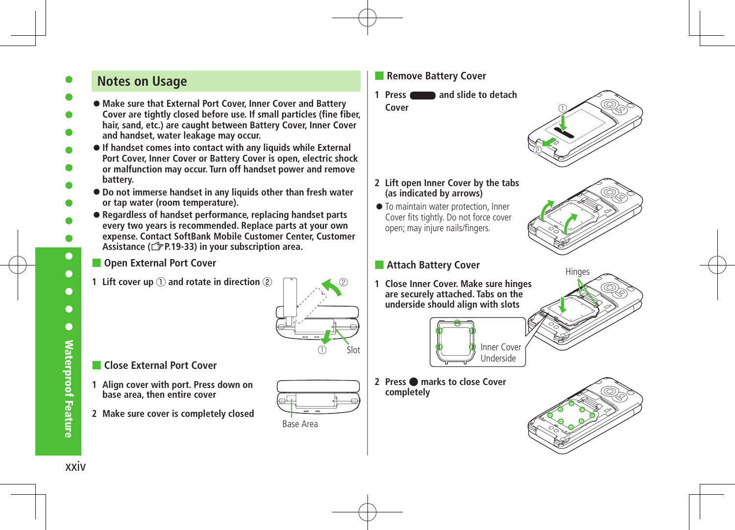### **Notes on Usage**

**Make sure that External Port Cover, Inner Cover and Battery** 

- **Cover are tightly closed before use. If small particles (fine fiber, hair, sand, etc.) are caught between Battery Cover, Inner Cover and handset, water leakage may occur.**
- **If handset comes into contact with any liquids while External Port Cover, Inner Cover or Battery Cover is open, electric shock or malfunction may occur. Turn off handset power and remove battery.**
- **Do not immerse handset in any liquids other than fresh water or tap water (room temperature).**
- **Regardless of handset performance, replacing handset parts every two years is recommended. Replace parts at your own expense. Contact SoftBank Mobile Customer Center, Customer Assistance (**Z**P.19-33) in your subscription area.**

#### **Open External Port Cover**

**1 Lift cover up** ① **and rotate in direction** ②



#### ■ **Close External Port Cover**

- **1 Align cover with port. Press down on base area, then entire cover**
- **2 Make sure cover is completely closed**

|                           | $\equiv$             |  |
|---------------------------|----------------------|--|
| $\sim$ $\sim$<br>$\cdots$ | 1000<br>$\mathbf{v}$ |  |

#### Base Area

#### ■ **Remove Battery Cover**

**1 Press and slide to detach Cover**



- **2 Lift open Inner Cover by the tabs (as indicated by arrows)**
- $\bullet$  To maintain water protection, Inner Cover fits tightly. Do not force cover open; may injure nails/fingers.



#### ■ **Attach Battery Cover**

**1 Close Inner Cover. Make sure hinges are securely attached. Tabs on the underside should align with slots**



**2 Press** ● **marks to close Cover completely**



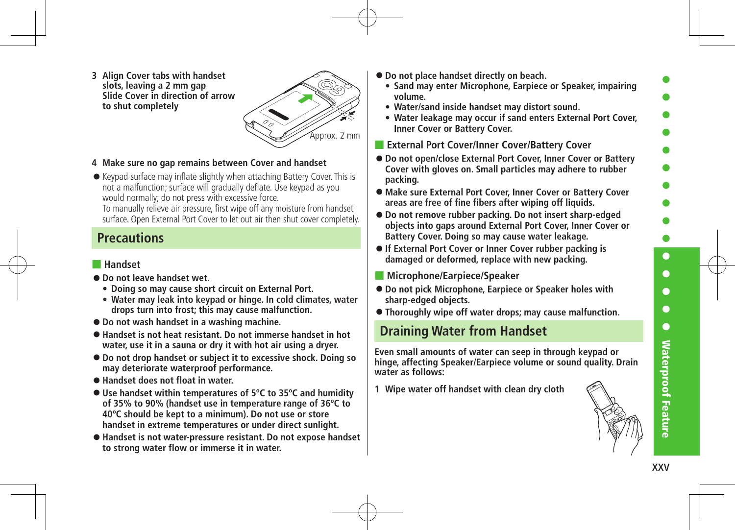$\bullet$  $\bullet$  $\bullet$  $\bullet$  $\bullet$ **Waterproof Feature** xxvWaterproof Feature

**3 Align Cover tabs with handset slots, leaving a 2 mm gap Slide Cover in direction of arrow to shut completely**



#### **4 Make sure no gap remains between Cover and handset**

Keypad surface may inflate slightly when attaching Battery Cover. This is not a malfunction; surface will gradually deflate. Use keypad as you would normally; do not press with excessive force.

To manually relieve air pressure, first wipe off any moisture from handset surface. Open External Port Cover to let out air then shut cover completely.

### **Precautions**

#### ■ **Handset**

- **Do not leave handset wet.**
	- **Doing so may cause short circuit on External Port.**
	- **Water may leak into keypad or hinge. In cold climates, water drops turn into frost; this may cause malfunction.**
- **Do not wash handset in a washing machine.**
- **Handset is not heat resistant. Do not immerse handset in hot water, use it in a sauna or dry it with hot air using a dryer.**
- **Do not drop handset or subject it to excessive shock. Doing so may deteriorate waterproof performance.**
- **Handset does not float in water.**
- **Use handset within temperatures of 5ºC to 35ºC and humidity of 35% to 90% (handset use in temperature range of 36ºC to 40ºC should be kept to a minimum). Do not use or store handset in extreme temperatures or under direct sunlight.**
- **Handset is not water-pressure resistant. Do not expose handset to strong water flow or immerse it in water.**
- **Do not place handset directly on beach.**
	- **Sand may enter Microphone, Earpiece or Speaker, impairing volume.**
	- **Water/sand inside handset may distort sound.**
	- **Water leakage may occur if sand enters External Port Cover, Inner Cover or Battery Cover.**
- **External Port Cover/Inner Cover/Battery Cover**
- **Do not open/close External Port Cover, Inner Cover or Battery Cover with gloves on. Small particles may adhere to rubber packing.**
- **Make sure External Port Cover, Inner Cover or Battery Cover areas are free of fine fibers after wiping off liquids.**
- **Do not remove rubber packing. Do not insert sharp-edged objects into gaps around External Port Cover, Inner Cover or Battery Cover. Doing so may cause water leakage.**
- **If External Port Cover or Inner Cover rubber packing is damaged or deformed, replace with new packing.**
- **Microphone/Earpiece/Speaker**
- **Do not pick Microphone, Earpiece or Speaker holes with sharp-edged objects.**
- **Thoroughly wipe off water drops; may cause malfunction.**

### **Draining Water from Handset**

**Even small amounts of water can seep in through keypad or hinge, affecting Speaker/Earpiece volume or sound quality. Drain water as follows:**

**1 Wipe water off handset with clean dry cloth**

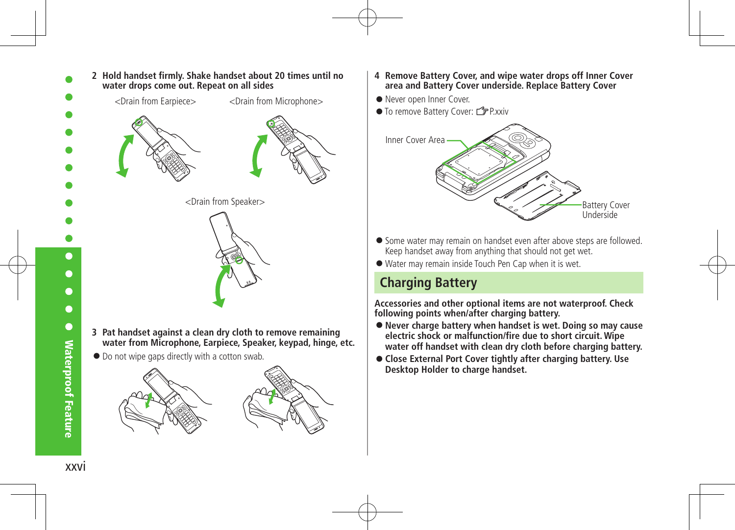

**2 Hold handset firmly. Shake handset about 20 times until no** 





- **4 Remove Battery Cover, and wipe water drops off Inner Cover area and Battery Cover underside. Replace Battery Cover**
- Never open Inner Cover.
- To remove Battery Cover: <sup>2</sup>P.xxiv



- Some water may remain on handset even after above steps are followed. Keep handset away from anything that should not get wet.
- Water may remain inside Touch Pen Cap when it is wet.

### **Charging Battery**

**Accessories and other optional items are not waterproof. Check following points when/after charging battery.**

- **Never charge battery when handset is wet. Doing so may cause electric shock or malfunction/fire due to short circuit. Wipe water off handset with clean dry cloth before charging battery.**
- **Close External Port Cover tightly after charging battery. Use Desktop Holder to charge handset.**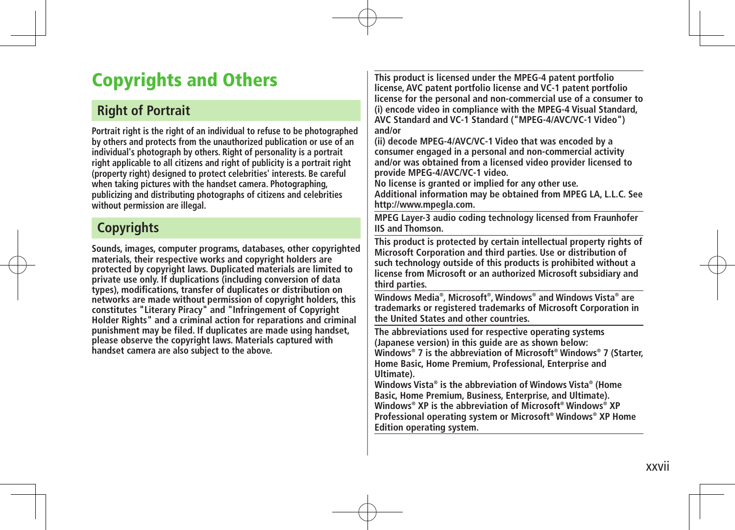# Copyrights and Others

### **Right of Portrait**

**Portrait right is the right of an individual to refuse to be photographed by others and protects from the unauthorized publication or use of an individual's photograph by others. Right of personality is a portrait right applicable to all citizens and right of publicity is a portrait right (property right) designed to protect celebrities' interests. Be careful when taking pictures with the handset camera. Photographing, publicizing and distributing photographs of citizens and celebrities without permission are illegal.**

### **Copyrights**

**Sounds, images, computer programs, databases, other copyrighted materials, their respective works and copyright holders are protected by copyright laws. Duplicated materials are limited to private use only. If duplications (including conversion of data types), modifications, transfer of duplicates or distribution on networks are made without permission of copyright holders, this constitutes "Literary Piracy" and "Infringement of Copyright Holder Rights" and a criminal action for reparations and criminal punishment may be filed. If duplicates are made using handset, please observe the copyright laws. Materials captured with handset camera are also subject to the above.**

**This product is licensed under the MPEG-4 patent portfolio license, AVC patent portfolio license and VC-1 patent portfolio license for the personal and non-commercial use of a consumer to (i) encode video in compliance with the MPEG-4 Visual Standard, AVC Standard and VC-1 Standard ("MPEG-4/AVC/VC-1 Video") and/or**

**(ii) decode MPEG-4/AVC/VC-1 Video that was encoded by a consumer engaged in a personal and non-commercial activity and/or was obtained from a licensed video provider licensed to provide MPEG-4/AVC/VC-1 video.**

**No license is granted or implied for any other use. Additional information may be obtained from MPEG LA, L.L.C. See http://www.mpegla.com.**

**MPEG Layer-3 audio coding technology licensed from Fraunhofer IIS and Thomson.**

**This product is protected by certain intellectual property rights of Microsoft Corporation and third parties. Use or distribution of such technology outside of this products is prohibited without a license from Microsoft or an authorized Microsoft subsidiary and third parties.**

**Windows Media® , Microsoft® , Windows® and Windows Vista® are trademarks or registered trademarks of Microsoft Corporation in the United States and other countries.**

**The abbreviations used for respective operating systems (Japanese version) in this guide are as shown below: Windows® 7 is the abbreviation of Microsoft® Windows® 7 (Starter, Home Basic, Home Premium, Professional, Enterprise and Ultimate).**

**Windows Vista® is the abbreviation of Windows Vista® (Home Basic, Home Premium, Business, Enterprise, and Ultimate). Windows® XP is the abbreviation of Microsoft® Windows® XP Professional operating system or Microsoft® Windows® XP Home Edition operating system.**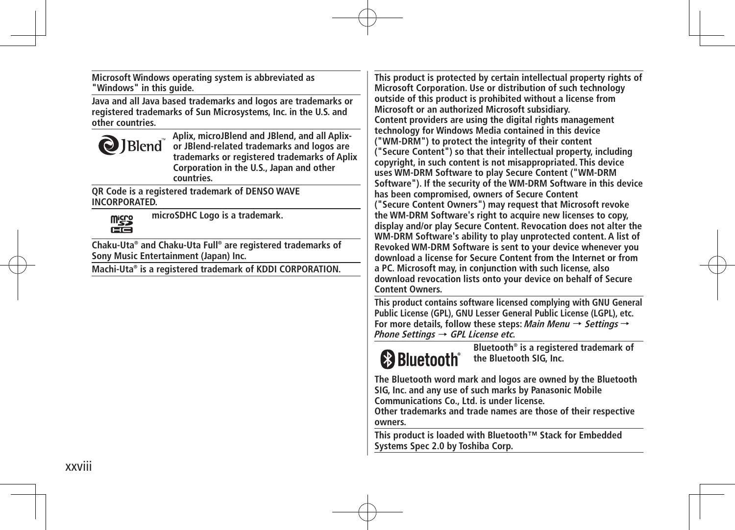**Microsoft Windows operating system is abbreviated as "Windows" in this guide.**

**Java and all Java based trademarks and logos are trademarks or registered trademarks of Sun Microsystems, Inc. in the U.S. and other countries.**



**Aplix, microJBlend and JBlend, and all Aplixor JBlend-related trademarks and logos are trademarks or registered trademarks of Aplix Corporation in the U.S., Japan and other countries.**

**QR Code is a registered trademark of DENSO WAVE INCORPORATED.**



**microSDHC Logo is a trademark.**

**Chaku-Uta® and Chaku-Uta Full® are registered trademarks of Sony Music Entertainment (Japan) Inc.**

**Machi-Uta® is a registered trademark of KDDI CORPORATION.**

**This product is protected by certain intellectual property rights of Microsoft Corporation. Use or distribution of such technology outside of this product is prohibited without a license from Microsoft or an authorized Microsoft subsidiary. Content providers are using the digital rights management technology for Windows Media contained in this device ("WM-DRM") to protect the integrity of their content ("Secure Content") so that their intellectual property, including copyright, in such content is not misappropriated. This device uses WM-DRM Software to play Secure Content ("WM-DRM Software"). If the security of the WM-DRM Software in this device has been compromised, owners of Secure Content ("Secure Content Owners") may request that Microsoft revoke the WM-DRM Software's right to acquire new licenses to copy, display and/or play Secure Content. Revocation does not alter the WM-DRM Software's ability to play unprotected content. A list of Revoked WM-DRM Software is sent to your device whenever you download a license for Secure Content from the Internet or from a PC. Microsoft may, in conjunction with such license, also download revocation lists onto your device on behalf of Secure Content Owners.**

**This product contains software licensed complying with GNU General Public License (GPL), GNU Lesser General Public License (LGPL), etc. For more details, follow these steps: Main Menu** → **Settings** → **Phone Settings** → **GPL License etc.**

# **83 Bluetooth**®

**Bluetooth® is a registered trademark of the Bluetooth SIG, Inc.**

**The Bluetooth word mark and logos are owned by the Bluetooth SIG, Inc. and any use of such marks by Panasonic Mobile Communications Co., Ltd. is under license.**

**Other trademarks and trade names are those of their respective owners.**

**This product is loaded with Bluetooth™ Stack for Embedded Systems Spec 2.0 by Toshiba Corp.**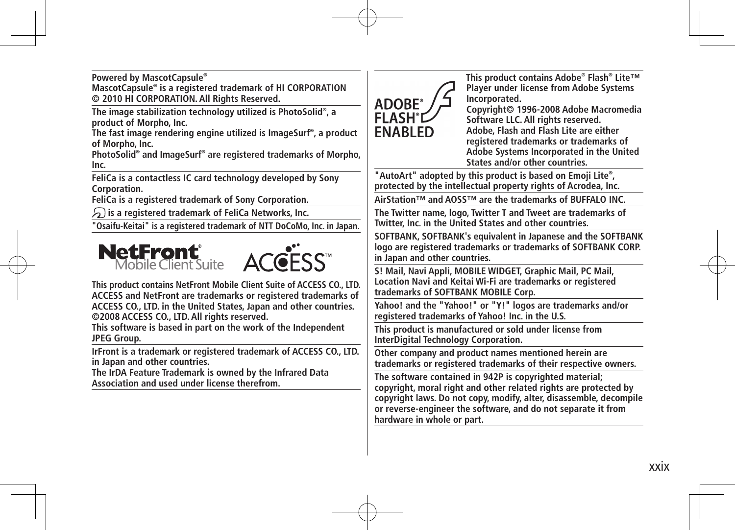**Powered by MascotCapsule® MascotCapsule® is a registered trademark of HI CORPORATION © 2010 HI CORPORATION. All Rights Reserved.**

**The image stabilization technology utilized is PhotoSolid® , a product of Morpho, Inc.**

**The fast image rendering engine utilized is ImageSurf® , a product of Morpho, Inc.**

**PhotoSolid® and ImageSurf® are registered trademarks of Morpho, Inc.** 

**FeliCa is a contactless IC card technology developed by Sony Corporation.**

**FeliCa is a registered trademark of Sony Corporation.**

 **is a registered trademark of FeliCa Networks, Inc.**

**"Osaifu-Keitai" is a registered trademark of NTT DoCoMo, Inc. in Japan.**



**This product contains NetFront Mobile Client Suite of ACCESS CO., LTD. ACCESS and NetFront are trademarks or registered trademarks of ACCESS CO., LTD. in the United States, Japan and other countries. ©2008 ACCESS CO., LTD. All rights reserved.**

**This software is based in part on the work of the Independent JPEG Group.**

**IrFront is a trademark or registered trademark of ACCESS CO., LTD. in Japan and other countries.**

**The IrDA Feature Trademark is owned by the Infrared Data Association and used under license therefrom.**



**This product contains Adobe® Flash® Lite™ Player under license from Adobe Systems Incorporated.**

**Copyright© 1996-2008 Adobe Macromedia Software LLC. All rights reserved. Adobe, Flash and Flash Lite are either registered trademarks or trademarks of Adobe Systems Incorporated in the United States and/or other countries.**

**"AutoArt" adopted by this product is based on Emoji Lite® , protected by the intellectual property rights of Acrodea, Inc.**

**AirStation™ and AOSS™ are the trademarks of BUFFALO INC.**

**The Twitter name, logo, Twitter T and Tweet are trademarks of Twitter, Inc. in the United States and other countries.**

**SOFTBANK, SOFTBANK's equivalent in Japanese and the SOFTBANK logo are registered trademarks or trademarks of SOFTBANK CORP. in Japan and other countries.**

**S! Mail, Navi Appli, MOBILE WIDGET, Graphic Mail, PC Mail, Location Navi and Keitai Wi-Fi are trademarks or registered trademarks of SOFTBANK MOBILE Corp.**

**Yahoo! and the "Yahoo!" or "Y!" logos are trademarks and/or registered trademarks of Yahoo! Inc. in the U.S.**

**This product is manufactured or sold under license from InterDigital Technology Corporation.**

**Other company and product names mentioned herein are trademarks or registered trademarks of their respective owners.**

**The software contained in 942P is copyrighted material; copyright, moral right and other related rights are protected by copyright laws. Do not copy, modify, alter, disassemble, decompile or reverse-engineer the software, and do not separate it from hardware in whole or part.**